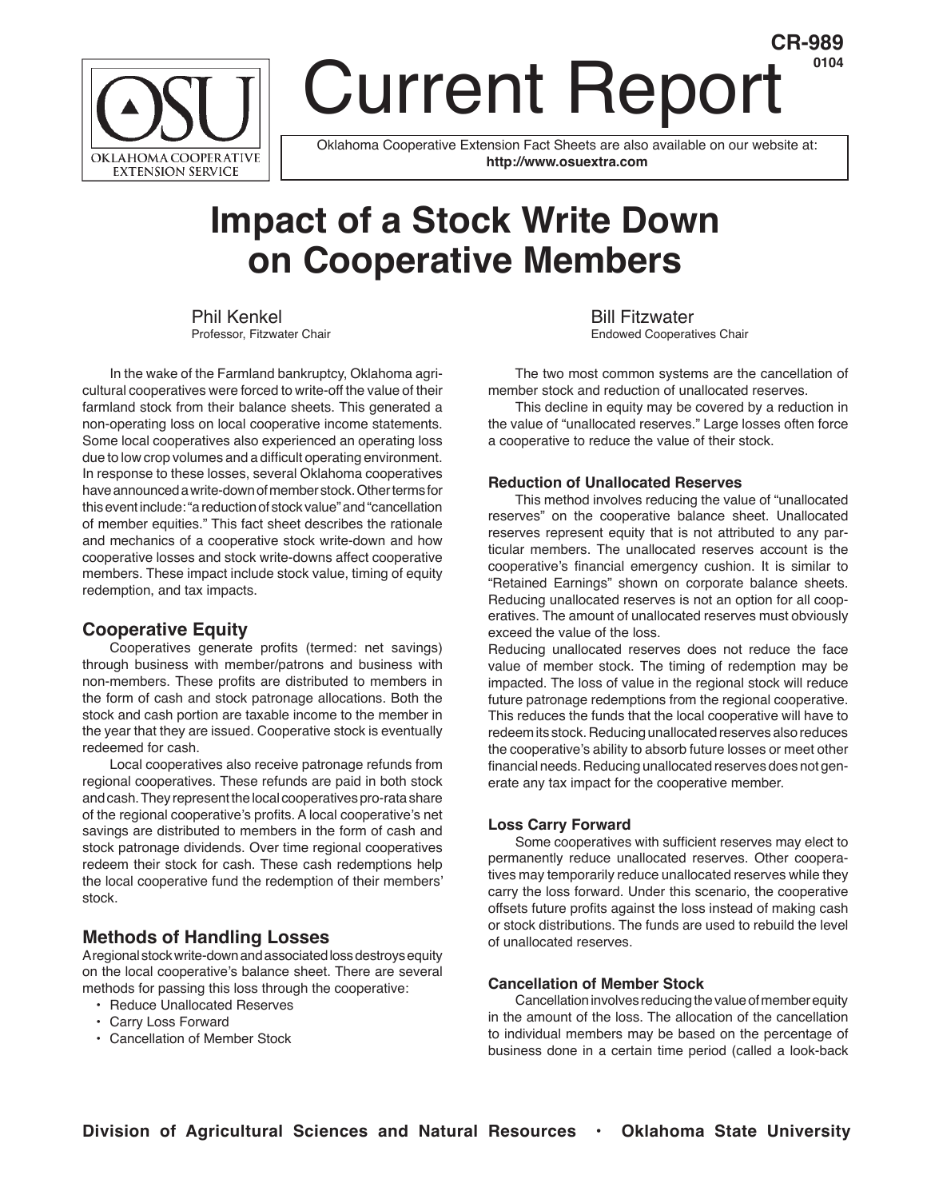

# Current Report **CR-989**

Oklahoma Cooperative Extension Fact Sheets are also available on our website at: **http://www.osuextra.com**

# **Impact of a Stock Write Down on Cooperative Members**

 In the wake of the Farmland bankruptcy, Oklahoma agricultural cooperatives were forced to write-off the value of their farmland stock from their balance sheets. This generated a non-operating loss on local cooperative income statements. Some local cooperatives also experienced an operating loss due to low crop volumes and a difficult operating environment. In response to these losses, several Oklahoma cooperatives have announced a write-down of member stock. Other terms for this event include: "a reduction of stock value" and "cancellation of member equities." This fact sheet describes the rationale and mechanics of a cooperative stock write-down and how cooperative losses and stock write-downs affect cooperative members. These impact include stock value, timing of equity redemption, and tax impacts.

### **Cooperative Equity**

 Cooperatives generate profits (termed: net savings) through business with member/patrons and business with non-members. These profits are distributed to members in the form of cash and stock patronage allocations. Both the stock and cash portion are taxable income to the member in the year that they are issued. Cooperative stock is eventually redeemed for cash.

 Local cooperatives also receive patronage refunds from regional cooperatives. These refunds are paid in both stock and cash. They represent the local cooperatives pro-rata share of the regional cooperative's profits. A local cooperative's net savings are distributed to members in the form of cash and stock patronage dividends. Over time regional cooperatives redeem their stock for cash. These cash redemptions help the local cooperative fund the redemption of their members' stock.

# **Methods of Handling Losses**

A regional stock write-down and associated loss destroys equity on the local cooperative's balance sheet. There are several methods for passing this loss through the cooperative:

- Reduce Unallocated Reserves
- Carry Loss Forward
- Cancellation of Member Stock

Phil Kenkel<br>
Professor, Fitzwater Chair Endowed Cooperatives Chair Endowed Cooperatives Chair

**0104**

 The two most common systems are the cancellation of member stock and reduction of unallocated reserves.

 This decline in equity may be covered by a reduction in the value of "unallocated reserves." Large losses often force a cooperative to reduce the value of their stock.

#### **Reduction of Unallocated Reserves**

 This method involves reducing the value of "unallocated reserves" on the cooperative balance sheet. Unallocated reserves represent equity that is not attributed to any particular members. The unallocated reserves account is the cooperative's financial emergency cushion. It is similar to "Retained Earnings" shown on corporate balance sheets. Reducing unallocated reserves is not an option for all cooperatives. The amount of unallocated reserves must obviously exceed the value of the loss.

Reducing unallocated reserves does not reduce the face value of member stock. The timing of redemption may be impacted. The loss of value in the regional stock will reduce future patronage redemptions from the regional cooperative. This reduces the funds that the local cooperative will have to redeem its stock. Reducing unallocated reserves also reduces the cooperative's ability to absorb future losses or meet other financial needs. Reducing unallocated reserves does not generate any tax impact for the cooperative member.

#### **Loss Carry Forward**

 Some cooperatives with sufficient reserves may elect to permanently reduce unallocated reserves. Other cooperatives may temporarily reduce unallocated reserves while they carry the loss forward. Under this scenario, the cooperative offsets future profits against the loss instead of making cash or stock distributions. The funds are used to rebuild the level of unallocated reserves.

#### **Cancellation of Member Stock**

 Cancellation involves reducing the value of member equity in the amount of the loss. The allocation of the cancellation to individual members may be based on the percentage of business done in a certain time period (called a look-back